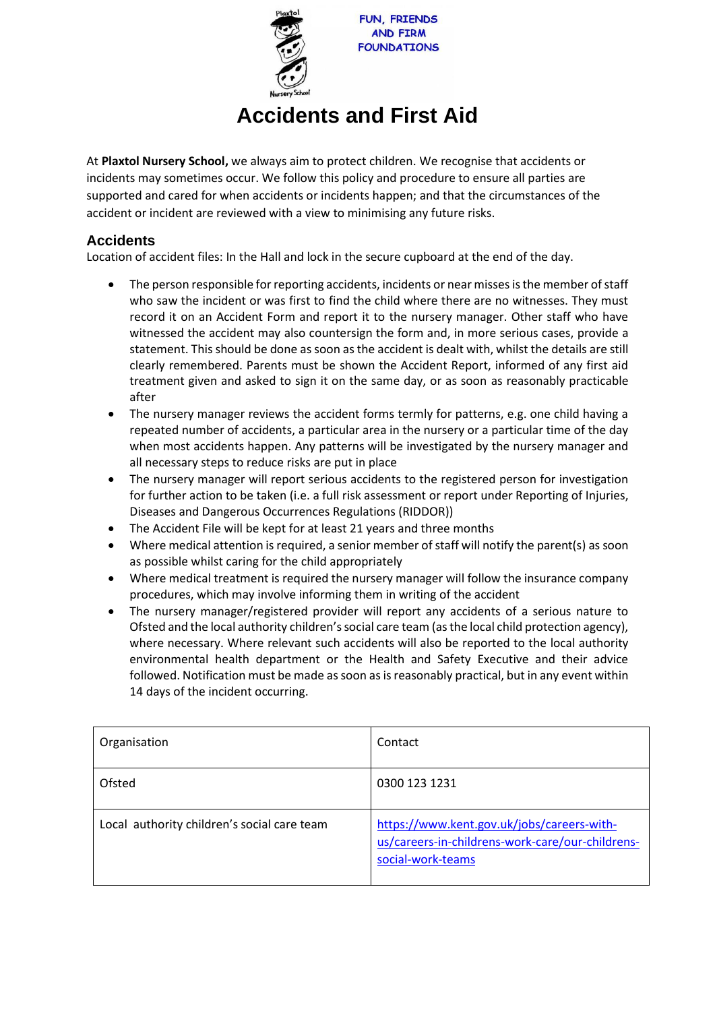

# **Accidents and First Aid**

At **Plaxtol Nursery School,** we always aim to protect children. We recognise that accidents or incidents may sometimes occur. We follow this policy and procedure to ensure all parties are supported and cared for when accidents or incidents happen; and that the circumstances of the accident or incident are reviewed with a view to minimising any future risks.

# **Accidents**

Location of accident files: In the Hall and lock in the secure cupboard at the end of the day.

- The person responsible for reporting accidents, incidents or near misses is the member of staff who saw the incident or was first to find the child where there are no witnesses. They must record it on an Accident Form and report it to the nursery manager. Other staff who have witnessed the accident may also countersign the form and, in more serious cases, provide a statement. This should be done as soon as the accident is dealt with, whilst the details are still clearly remembered. Parents must be shown the Accident Report, informed of any first aid treatment given and asked to sign it on the same day, or as soon as reasonably practicable after
- The nursery manager reviews the accident forms termly for patterns, e.g. one child having a repeated number of accidents, a particular area in the nursery or a particular time of the day when most accidents happen. Any patterns will be investigated by the nursery manager and all necessary steps to reduce risks are put in place
- The nursery manager will report serious accidents to the registered person for investigation for further action to be taken (i.e. a full risk assessment or report under Reporting of Injuries, Diseases and Dangerous Occurrences Regulations (RIDDOR))
- The Accident File will be kept for at least 21 years and three months
- Where medical attention is required, a senior member of staff will notify the parent(s) as soon as possible whilst caring for the child appropriately
- Where medical treatment is required the nursery manager will follow the insurance company procedures, which may involve informing them in writing of the accident
- The nursery manager/registered provider will report any accidents of a serious nature to Ofsted and the local authority children's social care team (as the local child protection agency), where necessary. Where relevant such accidents will also be reported to the local authority environmental health department or the Health and Safety Executive and their advice followed. Notification must be made as soon as is reasonably practical, but in any event within 14 days of the incident occurring.

| Organisation                                | Contact                                                                                                             |
|---------------------------------------------|---------------------------------------------------------------------------------------------------------------------|
| Ofsted                                      | 0300 123 1231                                                                                                       |
| Local authority children's social care team | https://www.kent.gov.uk/jobs/careers-with-<br>us/careers-in-childrens-work-care/our-childrens-<br>social-work-teams |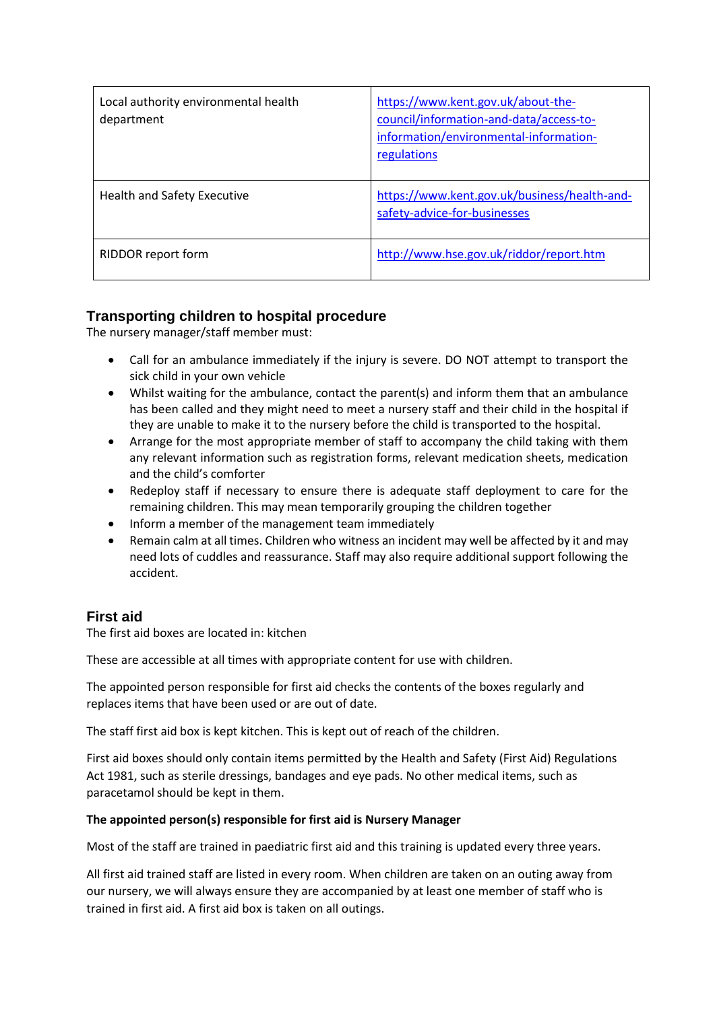| Local authority environmental health<br>department | https://www.kent.gov.uk/about-the-<br>council/information-and-data/access-to-<br>information/environmental-information-<br>regulations |
|----------------------------------------------------|----------------------------------------------------------------------------------------------------------------------------------------|
| <b>Health and Safety Executive</b>                 | https://www.kent.gov.uk/business/health-and-<br>safety-advice-for-businesses                                                           |
| RIDDOR report form                                 | http://www.hse.gov.uk/riddor/report.htm                                                                                                |

# **Transporting children to hospital procedure**

The nursery manager/staff member must:

- Call for an ambulance immediately if the injury is severe. DO NOT attempt to transport the sick child in your own vehicle
- Whilst waiting for the ambulance, contact the parent(s) and inform them that an ambulance has been called and they might need to meet a nursery staff and their child in the hospital if they are unable to make it to the nursery before the child is transported to the hospital.
- Arrange for the most appropriate member of staff to accompany the child taking with them any relevant information such as registration forms, relevant medication sheets, medication and the child's comforter
- Redeploy staff if necessary to ensure there is adequate staff deployment to care for the remaining children. This may mean temporarily grouping the children together
- Inform a member of the management team immediately
- Remain calm at all times. Children who witness an incident may well be affected by it and may need lots of cuddles and reassurance. Staff may also require additional support following the accident.

## **First aid**

The first aid boxes are located in: kitchen

These are accessible at all times with appropriate content for use with children.

The appointed person responsible for first aid checks the contents of the boxes regularly and replaces items that have been used or are out of date.

The staff first aid box is kept kitchen. This is kept out of reach of the children.

First aid boxes should only contain items permitted by the Health and Safety (First Aid) Regulations Act 1981, such as sterile dressings, bandages and eye pads. No other medical items, such as paracetamol should be kept in them.

#### **The appointed person(s) responsible for first aid is Nursery Manager**

Most of the staff are trained in paediatric first aid and this training is updated every three years.

All first aid trained staff are listed in every room. When children are taken on an outing away from our nursery, we will always ensure they are accompanied by at least one member of staff who is trained in first aid. A first aid box is taken on all outings.